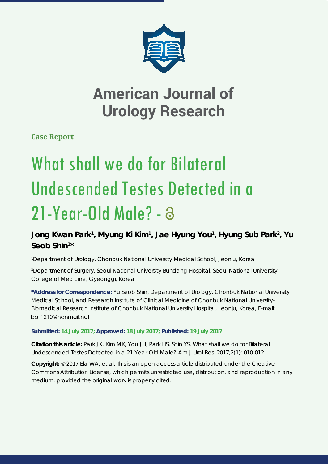

## **American Journal of Urology Research**

**Case Report**

# What shall we do for Bilateral Undescended Testes Detected in a 21-Year-Old Male? - a

### Jong Kwan Park<sup>1</sup>, Myung Ki Kim<sup>1</sup>, Jae Hyung You<sup>1</sup>, Hyung Sub Park<sup>2</sup>, Yu **Seob Shin1 \***

*1 Department of Urology, Chonbuk National University Medical School, Jeonju, Korea*

*2 Department of Surgery, Seoul National University Bundang Hospital, Seoul National University College of Medicine, Gyeonggi, Korea*

**\*Address for Correspondence:** Yu Seob Shin, Department of Urology, Chonbuk National University Medical School, and Research Institute of Clinical Medicine of Chonbuk National University-Biomedical Research Institute of Chonbuk National University Hospital, Jeonju, Korea, E-mail: ball1210@hanmail.net

#### **Submitted: 14 July 2017; Approved: 18 July 2017; Published: 19 July 2017**

**Citation this article:** Park JK, Kim MK, You JH, Park HS, Shin YS. What shall we do for Bilateral Undescended Testes Detected in a 21-Year-Old Male? Am J Urol Res. 2017;2(1): 010-012.

**Copyright:** © 2017 Ela WA, et al. This is an open access article distributed under the Creative Commons Attribution License, which permits unrestricted use, distribution, and reproduction in any medium, provided the original work is properly cited.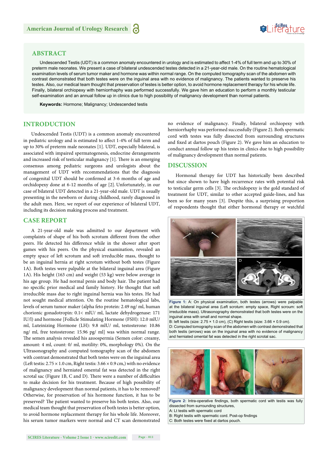#### **ABSTRACT**

Undescended Testis (UDT) is a common anomaly encountered in urology and is estimated to affect 1-4% of full term and up to 30% of preterm male neonates. We present a case of bilateral undescended testes detected in a 21-year-old male. On the routine hematological examination levels of serum tumor maker and hormone was within normal range. On the computed tomography scan of the abdomen with contrast demonstrated that both testes were on the inguinal area with no evidence of malignancy. The patients wanted to preserve his testes. Also, our medical team thought that preservation of testes is better option, to avoid hormone replacement therapy for his whole life. Finally, bilateral orchiopexy with herniorrhaphy was performed successfully. We gave him an education to perform a monthly testicular self-examination and an annual follow up in clinics due to high possibility of malignancy development than normal patients.

**Keywords:** Hormone; Malignancy; Undescended testis

#### **INTRODUCTION**

Undescended Testis (UDT) is a common anomaly encountered in pediatric urology and is estimated to affect 1-4% of full term and up to 30% of preterm male neonates [1]. UDT, especially bilateral, is associated with impaired spermatogenesis, endocrine derangements and increased risk of testicular malignancy [1]. There is an emerging consensus among pediatric surgeons and urologists about the management of UDT with recommendations that the diagnosis of congenital UDT should be confirmed at 3-6 months of age and orchidopexy done at 6-12 months of age [2]. Unfortunately, in our case of bilateral UDT detected in a 21-year-old male. UDT is usually presenting in the newborn or during childhood, rarely diagnosed in the adult men. Here, we report of our experience of bilateral UDT, including its decision making process and treatment.

#### **CASE REPORT**

A 21-year-old male was admitted to our department with complaints of shape of his both scrotum different from the other peers. He detected his difference while in the shower after sport games with his peers. On the physical examination, revealed an empty space of left scrotum and soft irreducible mass, thought to be an inguinal hernia at right scrotum without both testes (Figure 1A). Both testes were palpable at the bilateral inguinal area (Figure 1A). His height (163 cm) and weight (53 kg) were below average in his age group. He had normal penis and body hair. The patient had no specific prior medical and family history. He thought that soft irreducible mass due to right inguinal hernia was his testes. He had not sought medical attention. On the routine hematological labs, levels of serum tumor maker (alpha feto protein: 2.49 ng/ ml, human chorionic gonadotropin: 0.1< mlU/ ml, lactate dehydrogenase: 171 IU/l) and hormone [Follicle Stimulating Hormone (FSH): 12.0 mlU/ ml, Luteinizing Hormone (LH): 9.8 mlU/ ml, testosterone: 10.86 ng/ ml, free testosterone: 15.96 pg/ ml] was within normal range. The semen analysis revealed his azoospermia (Semen color: creamy, amount: 4 ml, count: 0/ ml, motility: 0%, morphology 0%). On the Ultrasonography and computed tomography scan of the abdomen with contrast demonstrated that both testes were on the inguinal area (Left testis:  $2.75 \times 1.0$  cm, Right testis:  $3.66 \times 0.9$  cm,) with no evidence of malignancy and herniated omental fat was detected in the right scrotal sac (Figure 1B, C and D). There were a number of difficulties to make decision for his treatment. Because of high possibility of malignancy development than normal patients, it has to be removed? Otherwise, for preservation of his hormone function, it has to be preserved? The patient wanted to preserve his both testes. Also, our medical team thought that preservation of both testes is better option, to avoid hormone replacement therapy for his whole life. Moreover, his serum tumor markers were normal and CT scan demonstrated

no evidence of malignancy. Finally, bilateral orchiopexy with herniorrhaphy was performed successfully (Figure 2). Both spermatic cord with testes was fully dissected from surrounding structures and fixed at dartos pouch (Figure 2). We gave him an education to conduct annual follow up his testes in clinics due to high possibility of malignancy development than normal patients.

Suifes ture

#### **DISCUSSION**

Hormonal therapy for UDT has historically been described but since shown to have high recurrence rates with potential risk to testicular germ cells [3]. The orchidopexy is the gold standard of treatment for UDT, similar to other accepted guide-lines, and has been so for many years [3]. Despite this, a surprising proportion of respondents thought that either hormonal therapy or watchful



**Figure 1:** A: On physical examination, both testes (arrows) were palpable at the bilateral inguinal area (Left scrotum: empty space, Right scroum: soft irreducible mass). Ultrasonography demonstrated that both testes were on the inguinal area with small and normal shape.

B: left testis (size:  $2.75 \times 1.0$  cm), (C) Right testis (size:  $3.66 \times 0.9$  cm). D: Computed tomography scan of the abdomen with contrast demonstrated that both testis (arrows) was on the inguinal area with no evidence of malignancy and herniated omental fat was detected in the right scrotal sac.



**Figure 2:** Intra-operative findings, both spermatic cord with testis was fully dissected from surrounding structures,

A: Lt testis with spermatic cord

B: Right testis with spermatic cord. Post-op findings

C: Both testes were fixed at dartos pouch.